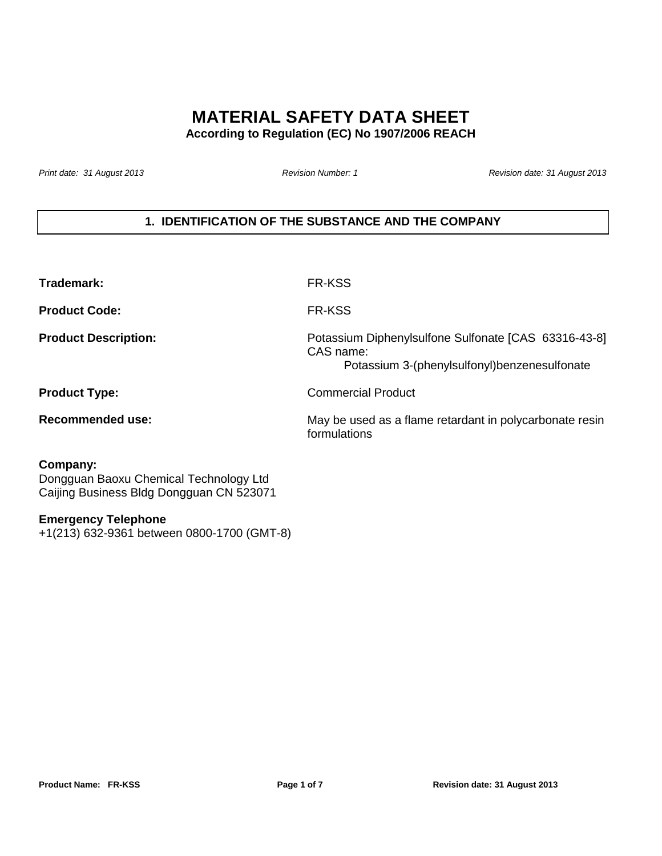# **MATERIAL SAFETY DATA SHEET**

**According to Regulation (EC) No 1907/2006 REACH**

Print date: 31 August 2013 **Revision Number: 1** Revision Number: 1 Revision date: 31 August 2013

# **1. IDENTIFICATION OF THE SUBSTANCE AND THE COMPANY**

| Trademark:                  | FR-KSS                                                                                                            |
|-----------------------------|-------------------------------------------------------------------------------------------------------------------|
| <b>Product Code:</b>        | FR-KSS                                                                                                            |
| <b>Product Description:</b> | Potassium Diphenylsulfone Sulfonate [CAS 63316-43-8]<br>CAS name:<br>Potassium 3-(phenylsulfonyl)benzenesulfonate |
| <b>Product Type:</b>        | Commercial Product                                                                                                |
| Recommended use:            | May be used as a flame retardant in polycarbonate resin<br>formulations                                           |

### **Company:**

Dongguan Baoxu Chemical Technology Ltd Caijing Business Bldg Dongguan CN 523071

#### **Emergency Telephone**

+1(213) 632-9361 between 0800-1700 (GMT-8)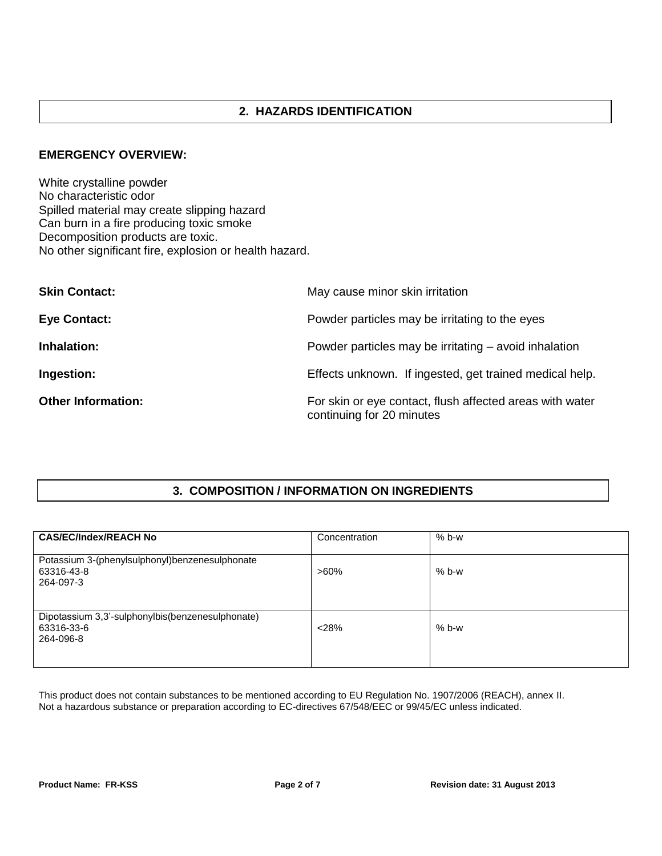# **2. HAZARDS IDENTIFICATION**

#### **EMERGENCY OVERVIEW:**

White crystalline powder No characteristic odor Spilled material may create slipping hazard Can burn in a fire producing toxic smoke Decomposition products are toxic. No other significant fire, explosion or health hazard.

| <b>Skin Contact:</b>      | May cause minor skin irritation                                                       |
|---------------------------|---------------------------------------------------------------------------------------|
| <b>Eye Contact:</b>       | Powder particles may be irritating to the eyes                                        |
| Inhalation:               | Powder particles may be irritating – avoid inhalation                                 |
| Ingestion:                | Effects unknown. If ingested, get trained medical help.                               |
| <b>Other Information:</b> | For skin or eye contact, flush affected areas with water<br>continuing for 20 minutes |

# **3. COMPOSITION / INFORMATION ON INGREDIENTS**

| <b>CAS/EC/Index/REACH No</b>                                                | Concentration | $% b-w$ |
|-----------------------------------------------------------------------------|---------------|---------|
| Potassium 3-(phenylsulphonyl)benzenesulphonate<br>63316-43-8<br>264-097-3   | $>60\%$       | $% b-w$ |
| Dipotassium 3,3'-sulphonylbis(benzenesulphonate)<br>63316-33-6<br>264-096-8 | < 28%         | $% b-w$ |

This product does not contain substances to be mentioned according to EU Regulation No. 1907/2006 (REACH), annex II. Not a hazardous substance or preparation according to EC-directives 67/548/EEC or 99/45/EC unless indicated.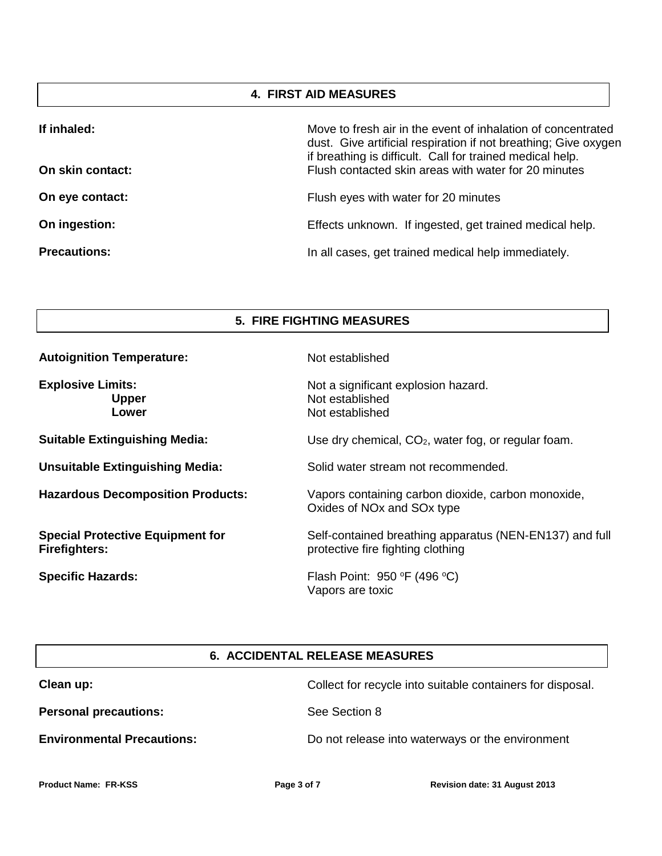### **4. FIRST AID MEASURES**

| If inhaled:         | Move to fresh air in the event of inhalation of concentrated<br>dust. Give artificial respiration if not breathing; Give oxygen<br>if breathing is difficult. Call for trained medical help. |
|---------------------|----------------------------------------------------------------------------------------------------------------------------------------------------------------------------------------------|
| On skin contact:    | Flush contacted skin areas with water for 20 minutes                                                                                                                                         |
| On eye contact:     | Flush eyes with water for 20 minutes                                                                                                                                                         |
| On ingestion:       | Effects unknown. If ingested, get trained medical help.                                                                                                                                      |
| <b>Precautions:</b> | In all cases, get trained medical help immediately.                                                                                                                                          |

#### **5. FIRE FIGHTING MEASURES**

| <b>Autoignition Temperature:</b>                                | Not established                                                                                          |
|-----------------------------------------------------------------|----------------------------------------------------------------------------------------------------------|
| <b>Explosive Limits:</b><br><b>Upper</b><br>Lower               | Not a significant explosion hazard.<br>Not established<br>Not established                                |
| <b>Suitable Extinguishing Media:</b>                            | Use dry chemical, $CO2$ , water fog, or regular foam.                                                    |
| <b>Unsuitable Extinguishing Media:</b>                          | Solid water stream not recommended.                                                                      |
| <b>Hazardous Decomposition Products:</b>                        | Vapors containing carbon dioxide, carbon monoxide,<br>Oxides of NO <sub>x</sub> and SO <sub>x</sub> type |
| <b>Special Protective Equipment for</b><br><b>Firefighters:</b> | Self-contained breathing apparatus (NEN-EN137) and full<br>protective fire fighting clothing             |
| <b>Specific Hazards:</b>                                        | Flash Point: $950 °F$ (496 °C)<br>Vapors are toxic                                                       |

# **6. ACCIDENTAL RELEASE MEASURES**

| Clean up:                         | Collect for recycle into suitable containers for disposal. |
|-----------------------------------|------------------------------------------------------------|
| <b>Personal precautions:</b>      | See Section 8                                              |
| <b>Environmental Precautions:</b> | Do not release into waterways or the environment           |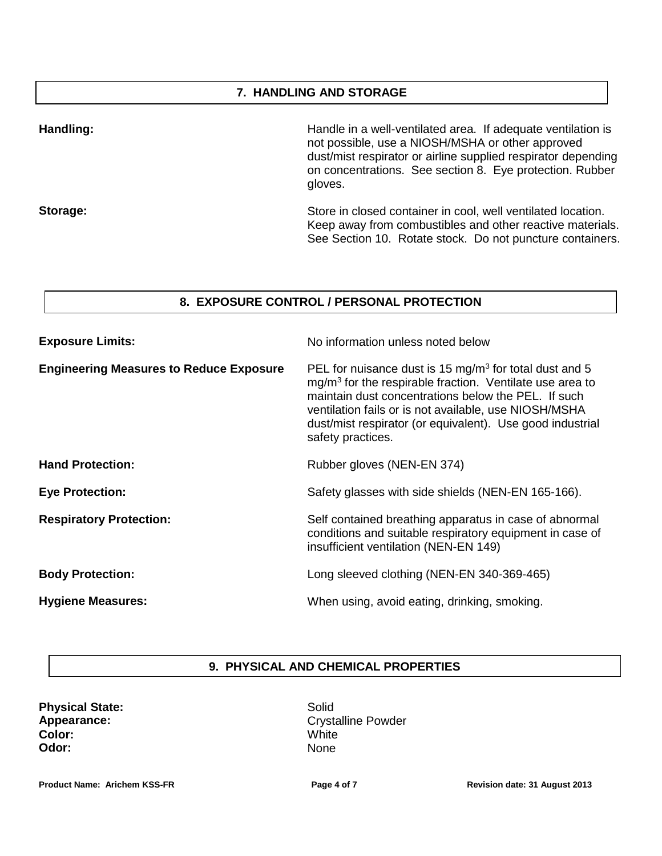### **7. HANDLING AND STORAGE**

| Handling: | Handle in a well-ventilated area. If adequate ventilation is<br>not possible, use a NIOSH/MSHA or other approved<br>dust/mist respirator or airline supplied respirator depending<br>on concentrations. See section 8. Eye protection. Rubber<br>gloves. |
|-----------|----------------------------------------------------------------------------------------------------------------------------------------------------------------------------------------------------------------------------------------------------------|
| Storage:  | Store in closed container in cool, well ventilated location.<br>Keep away from combustibles and other reactive materials.<br>See Section 10. Rotate stock. Do not puncture containers.                                                                   |

#### **8. EXPOSURE CONTROL / PERSONAL PROTECTION**

| <b>Exposure Limits:</b>                        | No information unless noted below                                                                                                                                                                                                                                                                                                  |
|------------------------------------------------|------------------------------------------------------------------------------------------------------------------------------------------------------------------------------------------------------------------------------------------------------------------------------------------------------------------------------------|
| <b>Engineering Measures to Reduce Exposure</b> | PEL for nuisance dust is 15 mg/m <sup>3</sup> for total dust and 5<br>$mg/m3$ for the respirable fraction. Ventilate use area to<br>maintain dust concentrations below the PEL. If such<br>ventilation fails or is not available, use NIOSH/MSHA<br>dust/mist respirator (or equivalent). Use good industrial<br>safety practices. |
| <b>Hand Protection:</b>                        | Rubber gloves (NEN-EN 374)                                                                                                                                                                                                                                                                                                         |
| <b>Eye Protection:</b>                         | Safety glasses with side shields (NEN-EN 165-166).                                                                                                                                                                                                                                                                                 |
| <b>Respiratory Protection:</b>                 | Self contained breathing apparatus in case of abnormal<br>conditions and suitable respiratory equipment in case of<br>insufficient ventilation (NEN-EN 149)                                                                                                                                                                        |
| <b>Body Protection:</b>                        | Long sleeved clothing (NEN-EN 340-369-465)                                                                                                                                                                                                                                                                                         |
| <b>Hygiene Measures:</b>                       | When using, avoid eating, drinking, smoking.                                                                                                                                                                                                                                                                                       |

### **9. PHYSICAL AND CHEMICAL PROPERTIES**

| <b>Physical State:</b> |
|------------------------|
| Appearance:            |
| Color:                 |
| Odor:                  |

Solid Crystalline Powder **White** None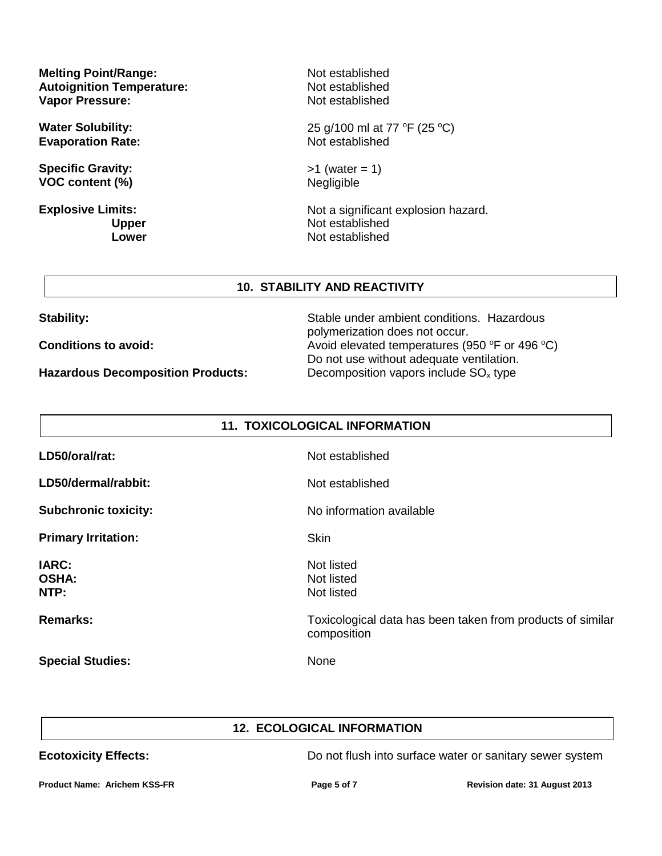**Melting Point/Range: Autoignition Temperature: Vapor Pressure:**

**Water Solubility: Evaporation Rate:**

**Specific Gravity: VOC content (%)**

**Explosive Limits: Upper Lower** Not established Not established Not established

25 g/100 ml at 77 °F (25 °C) Not established

 $>1$  (water = 1) Negligible

Not a significant explosion hazard. Not established Not established

#### **10. STABILITY AND REACTIVITY**

**Hazardous Decomposition Products:** Decomposition vapors include SO<sub>x</sub> type

**Stability:** Stable under ambient conditions. Hazardous polymerization does not occur. **Conditions to avoid:** Avoid elevated temperatures (950 °F or 496 °C) Do not use without adequate ventilation.

| <b>11. TOXICOLOGICAL INFORMATION</b> |                                                                           |
|--------------------------------------|---------------------------------------------------------------------------|
| LD50/oral/rat:                       | Not established                                                           |
| LD50/dermal/rabbit:                  | Not established                                                           |
| <b>Subchronic toxicity:</b>          | No information available                                                  |
| <b>Primary Irritation:</b>           | Skin                                                                      |
| <b>IARC:</b><br><b>OSHA:</b><br>NTP: | Not listed<br>Not listed<br>Not listed                                    |
| <b>Remarks:</b>                      | Toxicological data has been taken from products of similar<br>composition |
| <b>Special Studies:</b>              | None                                                                      |

# **12. ECOLOGICAL INFORMATION**

**Ecotoxicity Effects: Exercise Exercise System** Do not flush into surface water or sanitary sewer system

**Product Name: Arichem KSS-FR Page 5 of 7 Revision date: 31 August 2013**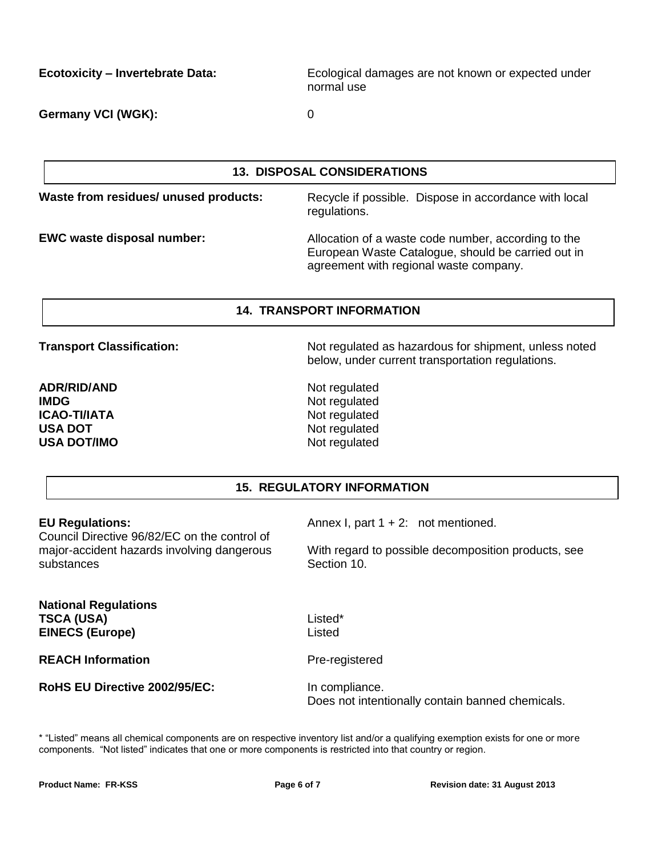**Ecotoxicity – Invertebrate Data:** Ecological damages are not known or expected under normal use

**Germany VCI (WGK):** 0

**13. DISPOSAL CONSIDERATIONS**

**Waste from residues/ unused products:** Recycle if possible. Dispose in accordance with local regulations.

**EWC waste disposal number:** Allocation of a waste code number, according to the European Waste Catalogue, should be carried out in agreement with regional waste company.

### **14. TRANSPORT INFORMATION**

**ADR/RID/AND IMDG ICAO-TI/IATA USA DOT USA DOT/IMO**

**Transport Classification:** Not regulated as hazardous for shipment, unless noted below, under current transportation regulations.

> Not regulated Not regulated Not regulated Not regulated Not regulated

### **15. REGULATORY INFORMATION**

#### **EU Regulations:**

Council Directive 96/82/EC on the control of major-accident hazards involving dangerous substances

Annex I, part  $1 + 2$ : not mentioned.

With regard to possible decomposition products, see Section 10.

**National Regulations TSCA (USA) EINECS (Europe)**

**REACH Information**

Listed\* Listed

Pre-registered

**RoHS EU Directive 2002/95/EC:**

In compliance. Does not intentionally contain banned chemicals.

\* "Listed" means all chemical components are on respective inventory list and/or a qualifying exemption exists for one or more components. "Not listed" indicates that one or more components is restricted into that country or region.